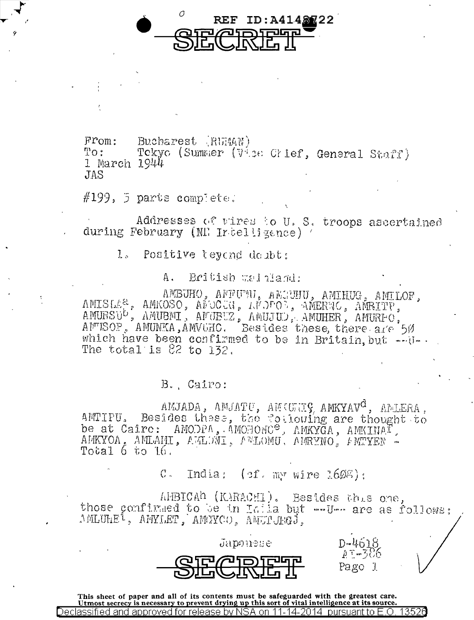

From: Bucharest (RUMAN) Tekyo (Summer (Vise Chief, General Staff)  $\mathbb{T}^{\mathcal{O}}$  :  $1$  March  $1944$ **JAS** 

#199, 5 parts complete:

Addresses of wires to U.S. troops ascertained during February (MI Intelligence)

1. Positive tey and doubt;

British wainland: Α.

AMBUHO, ANFUMU, AMERHU, AMIHUG, AMILOF, AMISLA<sup>2</sup>, AMKOSO, ALOCCH, ALOFOS, AMERIC, AMRITP,<br>AMURSU<sup>b</sup>, AMUBMI, AMUBUZ, AMUJUD, AMUHER, AMURFO,<br>AMUNSOP, AMUNKA, AMVUHO, Besides these, there are 50 which have been confirmed to be in Britain, but will . The total is  $82$  to  $132$ .

B. Cairo:

AMJADA, AMJATU, AMKUHIÇ, AMKYAV<sup>C</sup>, AMLERA, Besides these, the following are thought to AMTIPU. be at Cairc: AMODPA, AMOHONC<sup>e</sup>, AMAYGA, AMKINAI. AMKYOA, AMLAMI, AMLONI, AMLOMU, AMRYNO, AMTYEN -Total  $6$  to  $16$ .

> $C_{\infty}$ India:  $(\text{if.} \text{my wire } 1698)$ :

AMBICAh (KARACHI). Besides this one, those confirmed to be in India but -- U- are as follows: AMLUHE<sup>i</sup>, AMYLET, AMGYCO, ANUICHGJ,

| Japanese                               | $D-4618$<br>$A^T-366$ |  |
|----------------------------------------|-----------------------|--|
| <b>QTP</b> OIDTPF<br><u>JI HWIUTIG</u> | Pago I                |  |

This sheet of paper and all of its contents must be safeguarded with the greatest care. Utmost secrecy is necessary to prevent drying up this sort of vital intelligence at its source. <u>Declassified and approved for release by NS</u>